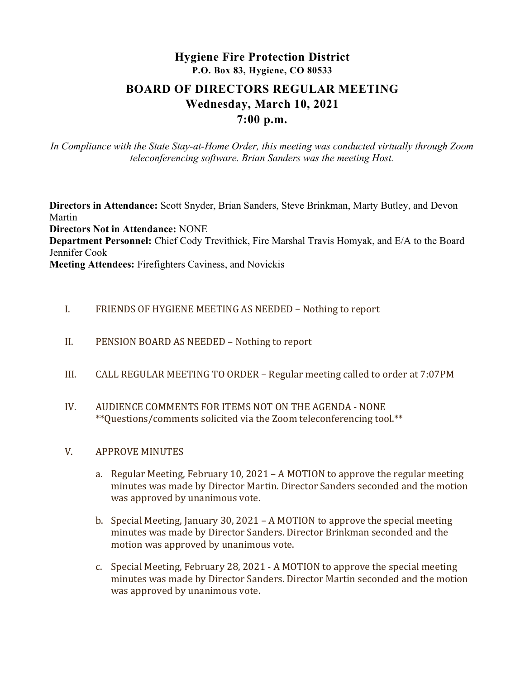# Hygiene Fire Protection District P.O. Box 83, Hygiene, CO 80533 BOARD OF DIRECTORS REGULAR MEETING Wednesday, March 10, 2021

## 7:00 p.m.

In Compliance with the State Stay-at-Home Order, this meeting was conducted virtually through Zoom teleconferencing software. Brian Sanders was the meeting Host.

Directors in Attendance: Scott Snyder, Brian Sanders, Steve Brinkman, Marty Butley, and Devon Martin Directors Not in Attendance: NONE Department Personnel: Chief Cody Trevithick, Fire Marshal Travis Homyak, and E/A to the Board Jennifer Cook Meeting Attendees: Firefighters Caviness, and Novickis

#### I. FRIENDS OF HYGIENE MEETING AS NEEDED – Nothing to report

- II. PENSION BOARD AS NEEDED Nothing to report
- III. CALL REGULAR MEETING TO ORDER Regular meeting called to order at 7:07PM
- IV. AUDIENCE COMMENTS FOR ITEMS NOT ON THE AGENDA NONE \*\*Questions/comments solicited via the Zoom teleconferencing tool.\*\*

#### V. APPROVE MINUTES

- a. Regular Meeting, February 10, 2021 A MOTION to approve the regular meeting minutes was made by Director Martin. Director Sanders seconded and the motion was approved by unanimous vote.
- b. Special Meeting, January 30, 2021 A MOTION to approve the special meeting minutes was made by Director Sanders. Director Brinkman seconded and the motion was approved by unanimous vote.
- c. Special Meeting, February 28, 2021 A MOTION to approve the special meeting minutes was made by Director Sanders. Director Martin seconded and the motion was approved by unanimous vote.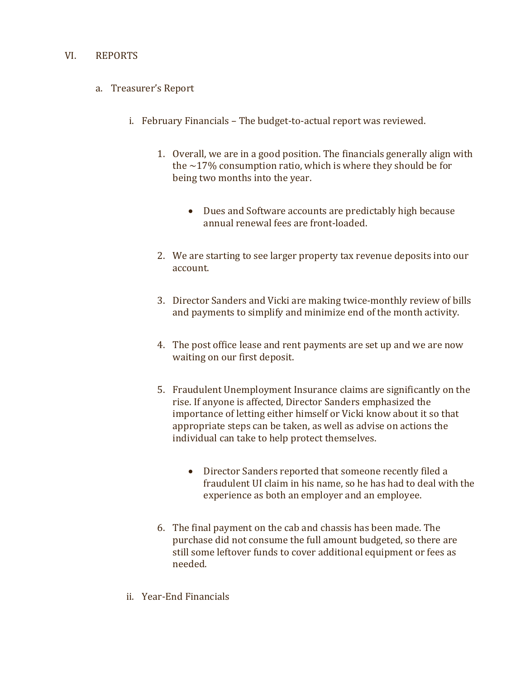#### VI. REPORTS

- a. Treasurer's Report
	- i. February Financials The budget-to-actual report was reviewed.
		- 1. Overall, we are in a good position. The financials generally align with the  $\sim$ 17% consumption ratio, which is where they should be for being two months into the year.
			- Dues and Software accounts are predictably high because annual renewal fees are front-loaded.
		- 2. We are starting to see larger property tax revenue deposits into our account.
		- 3. Director Sanders and Vicki are making twice-monthly review of bills and payments to simplify and minimize end of the month activity.
		- 4. The post office lease and rent payments are set up and we are now waiting on our first deposit.
		- 5. Fraudulent Unemployment Insurance claims are significantly on the rise. If anyone is affected, Director Sanders emphasized the importance of letting either himself or Vicki know about it so that appropriate steps can be taken, as well as advise on actions the individual can take to help protect themselves.
			- Director Sanders reported that someone recently filed a fraudulent UI claim in his name, so he has had to deal with the experience as both an employer and an employee.
		- 6. The final payment on the cab and chassis has been made. The purchase did not consume the full amount budgeted, so there are still some leftover funds to cover additional equipment or fees as needed.
	- ii. Year-End Financials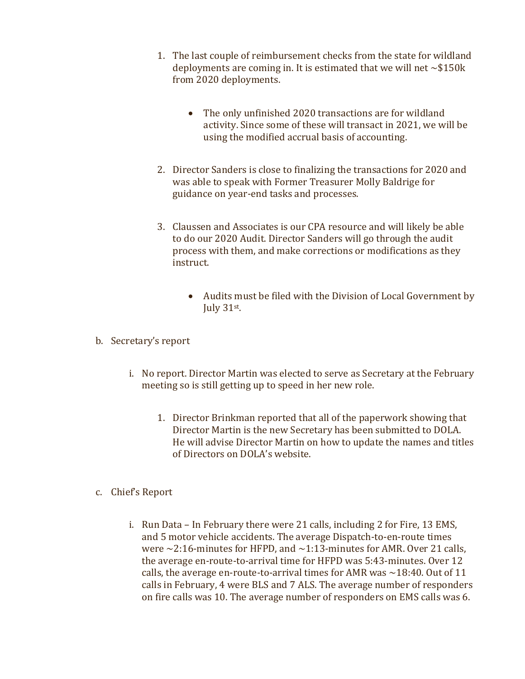- 1. The last couple of reimbursement checks from the state for wildland deployments are coming in. It is estimated that we will net  $\sim $150k$ from 2020 deployments.
	- The only unfinished 2020 transactions are for wildland activity. Since some of these will transact in 2021, we will be using the modified accrual basis of accounting.
- 2. Director Sanders is close to finalizing the transactions for 2020 and was able to speak with Former Treasurer Molly Baldrige for guidance on year-end tasks and processes.
- 3. Claussen and Associates is our CPA resource and will likely be able to do our 2020 Audit. Director Sanders will go through the audit process with them, and make corrections or modifications as they instruct.
	- Audits must be filed with the Division of Local Government by July 31st.
- b. Secretary's report
	- i. No report. Director Martin was elected to serve as Secretary at the February meeting so is still getting up to speed in her new role.
		- 1. Director Brinkman reported that all of the paperwork showing that Director Martin is the new Secretary has been submitted to DOLA. He will advise Director Martin on how to update the names and titles of Directors on DOLA's website.
- c. Chief's Report
	- i. Run Data In February there were 21 calls, including 2 for Fire, 13 EMS, and 5 motor vehicle accidents. The average Dispatch-to-en-route times were  $\sim$ 2:16-minutes for HFPD, and  $\sim$ 1:13-minutes for AMR. Over 21 calls, the average en-route-to-arrival time for HFPD was 5:43-minutes. Over 12 calls, the average en-route-to-arrival times for AMR was  $\sim$ 18:40. Out of 11 calls in February, 4 were BLS and 7 ALS. The average number of responders on fire calls was 10. The average number of responders on EMS calls was 6.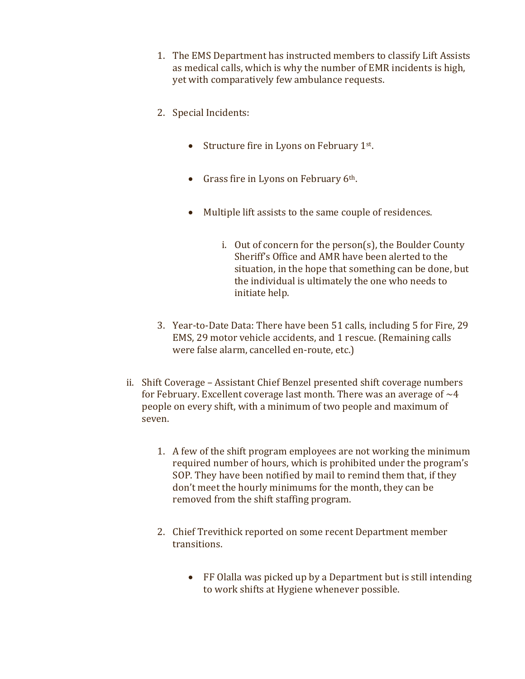- 1. The EMS Department has instructed members to classify Lift Assists as medical calls, which is why the number of EMR incidents is high, yet with comparatively few ambulance requests.
- 2. Special Incidents:
	- Structure fire in Lyons on February 1<sup>st</sup>.
	- Grass fire in Lyons on February  $6<sup>th</sup>$ .
	- Multiple lift assists to the same couple of residences.
		- i. Out of concern for the person(s), the Boulder County Sheriff's Office and AMR have been alerted to the situation, in the hope that something can be done, but the individual is ultimately the one who needs to initiate help.
- 3. Year-to-Date Data: There have been 51 calls, including 5 for Fire, 29 EMS, 29 motor vehicle accidents, and 1 rescue. (Remaining calls were false alarm, cancelled en-route, etc.)
- ii. Shift Coverage Assistant Chief Benzel presented shift coverage numbers for February. Excellent coverage last month. There was an average of  $\sim$ 4 people on every shift, with a minimum of two people and maximum of seven.
	- 1. A few of the shift program employees are not working the minimum required number of hours, which is prohibited under the program's SOP. They have been notified by mail to remind them that, if they don't meet the hourly minimums for the month, they can be removed from the shift staffing program.
	- 2. Chief Trevithick reported on some recent Department member transitions.
		- FF Olalla was picked up by a Department but is still intending to work shifts at Hygiene whenever possible.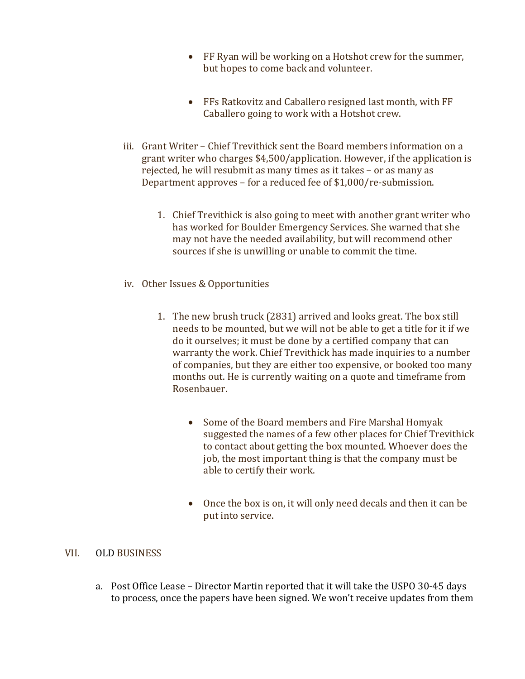- FF Ryan will be working on a Hotshot crew for the summer, but hopes to come back and volunteer.
- FFs Ratkovitz and Caballero resigned last month, with FF Caballero going to work with a Hotshot crew.
- iii. Grant Writer Chief Trevithick sent the Board members information on a grant writer who charges \$4,500/application. However, if the application is rejected, he will resubmit as many times as it takes – or as many as Department approves – for a reduced fee of \$1,000/re-submission.
	- 1. Chief Trevithick is also going to meet with another grant writer who has worked for Boulder Emergency Services. She warned that she may not have the needed availability, but will recommend other sources if she is unwilling or unable to commit the time.
- iv. Other Issues & Opportunities
	- 1. The new brush truck (2831) arrived and looks great. The box still needs to be mounted, but we will not be able to get a title for it if we do it ourselves; it must be done by a certified company that can warranty the work. Chief Trevithick has made inquiries to a number of companies, but they are either too expensive, or booked too many months out. He is currently waiting on a quote and timeframe from Rosenbauer.
		- Some of the Board members and Fire Marshal Homyak suggested the names of a few other places for Chief Trevithick to contact about getting the box mounted. Whoever does the job, the most important thing is that the company must be able to certify their work.
		- Once the box is on, it will only need decals and then it can be put into service.

#### VII. OLD BUSINESS

a. Post Office Lease – Director Martin reported that it will take the USPO 30-45 days to process, once the papers have been signed. We won't receive updates from them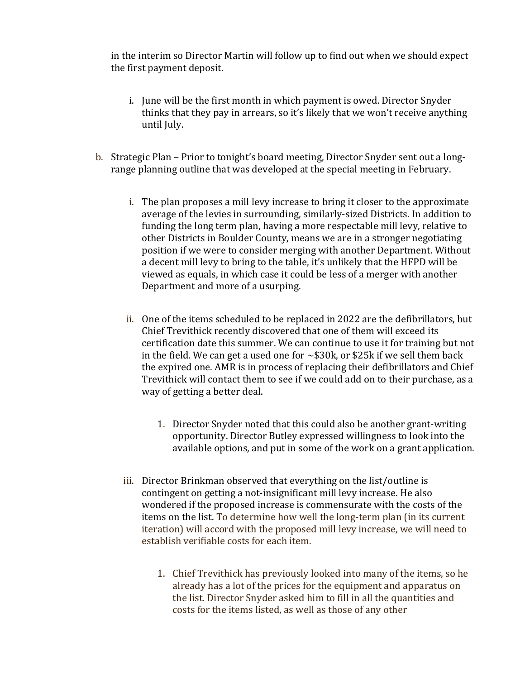in the interim so Director Martin will follow up to find out when we should expect the first payment deposit.

- i. June will be the first month in which payment is owed. Director Snyder thinks that they pay in arrears, so it's likely that we won't receive anything until July.
- b. Strategic Plan Prior to tonight's board meeting, Director Snyder sent out a longrange planning outline that was developed at the special meeting in February.
	- i. The plan proposes a mill levy increase to bring it closer to the approximate average of the levies in surrounding, similarly-sized Districts. In addition to funding the long term plan, having a more respectable mill levy, relative to other Districts in Boulder County, means we are in a stronger negotiating position if we were to consider merging with another Department. Without a decent mill levy to bring to the table, it's unlikely that the HFPD will be viewed as equals, in which case it could be less of a merger with another Department and more of a usurping.
	- ii. One of the items scheduled to be replaced in 2022 are the defibrillators, but Chief Trevithick recently discovered that one of them will exceed its certification date this summer. We can continue to use it for training but not in the field. We can get a used one for  $\sim$ \$30k, or \$25k if we sell them back the expired one. AMR is in process of replacing their defibrillators and Chief Trevithick will contact them to see if we could add on to their purchase, as a way of getting a better deal.
		- 1. Director Snyder noted that this could also be another grant-writing opportunity. Director Butley expressed willingness to look into the available options, and put in some of the work on a grant application.
	- iii. Director Brinkman observed that everything on the list/outline is contingent on getting a not-insignificant mill levy increase. He also wondered if the proposed increase is commensurate with the costs of the items on the list. To determine how well the long-term plan (in its current iteration) will accord with the proposed mill levy increase, we will need to establish verifiable costs for each item.
		- 1. Chief Trevithick has previously looked into many of the items, so he already has a lot of the prices for the equipment and apparatus on the list. Director Snyder asked him to fill in all the quantities and costs for the items listed, as well as those of any other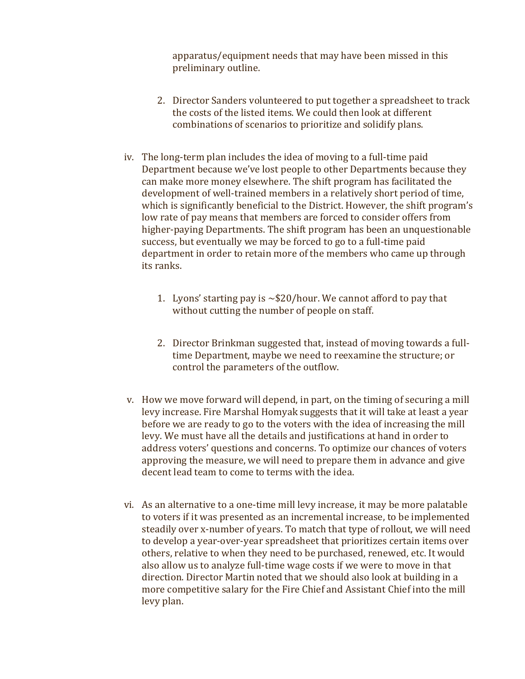apparatus/equipment needs that may have been missed in this preliminary outline.

- 2. Director Sanders volunteered to put together a spreadsheet to track the costs of the listed items. We could then look at different combinations of scenarios to prioritize and solidify plans.
- iv. The long-term plan includes the idea of moving to a full-time paid Department because we've lost people to other Departments because they can make more money elsewhere. The shift program has facilitated the development of well-trained members in a relatively short period of time, which is significantly beneficial to the District. However, the shift program's low rate of pay means that members are forced to consider offers from higher-paying Departments. The shift program has been an unquestionable success, but eventually we may be forced to go to a full-time paid department in order to retain more of the members who came up through its ranks.
	- 1. Lyons' starting pay is  $\sim$  \$20/hour. We cannot afford to pay that without cutting the number of people on staff.
	- 2. Director Brinkman suggested that, instead of moving towards a fulltime Department, maybe we need to reexamine the structure; or control the parameters of the outflow.
- v. How we move forward will depend, in part, on the timing of securing a mill levy increase. Fire Marshal Homyak suggests that it will take at least a year before we are ready to go to the voters with the idea of increasing the mill levy. We must have all the details and justifications at hand in order to address voters' questions and concerns. To optimize our chances of voters approving the measure, we will need to prepare them in advance and give decent lead team to come to terms with the idea.
- vi. As an alternative to a one-time mill levy increase, it may be more palatable to voters if it was presented as an incremental increase, to be implemented steadily over x-number of years. To match that type of rollout, we will need to develop a year-over-year spreadsheet that prioritizes certain items over others, relative to when they need to be purchased, renewed, etc. It would also allow us to analyze full-time wage costs if we were to move in that direction. Director Martin noted that we should also look at building in a more competitive salary for the Fire Chief and Assistant Chief into the mill levy plan.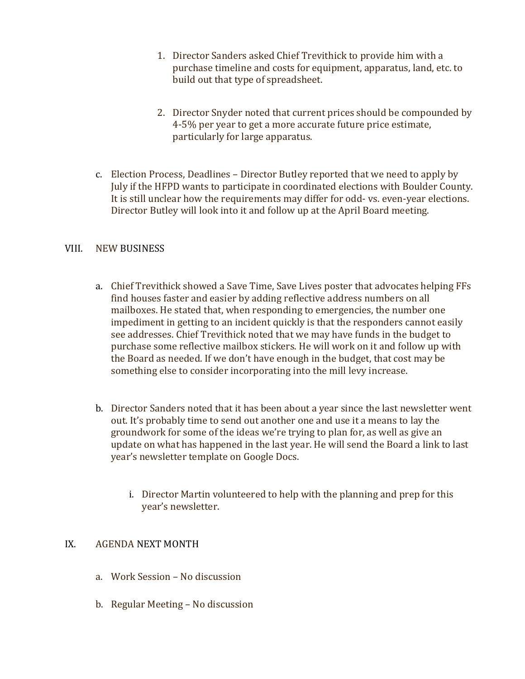- 1. Director Sanders asked Chief Trevithick to provide him with a purchase timeline and costs for equipment, apparatus, land, etc. to build out that type of spreadsheet.
- 2. Director Snyder noted that current prices should be compounded by 4-5% per year to get a more accurate future price estimate, particularly for large apparatus.
- c. Election Process, Deadlines Director Butley reported that we need to apply by July if the HFPD wants to participate in coordinated elections with Boulder County. It is still unclear how the requirements may differ for odd- vs. even-year elections. Director Butley will look into it and follow up at the April Board meeting.

### VIII. NEW BUSINESS

- a. Chief Trevithick showed a Save Time, Save Lives poster that advocates helping FFs find houses faster and easier by adding reflective address numbers on all mailboxes. He stated that, when responding to emergencies, the number one impediment in getting to an incident quickly is that the responders cannot easily see addresses. Chief Trevithick noted that we may have funds in the budget to purchase some reflective mailbox stickers. He will work on it and follow up with the Board as needed. If we don't have enough in the budget, that cost may be something else to consider incorporating into the mill levy increase.
- b. Director Sanders noted that it has been about a year since the last newsletter went out. It's probably time to send out another one and use it a means to lay the groundwork for some of the ideas we're trying to plan for, as well as give an update on what has happened in the last year. He will send the Board a link to last year's newsletter template on Google Docs.
	- i. Director Martin volunteered to help with the planning and prep for this year's newsletter.

### IX. AGENDA NEXT MONTH

- a. Work Session No discussion
- b. Regular Meeting No discussion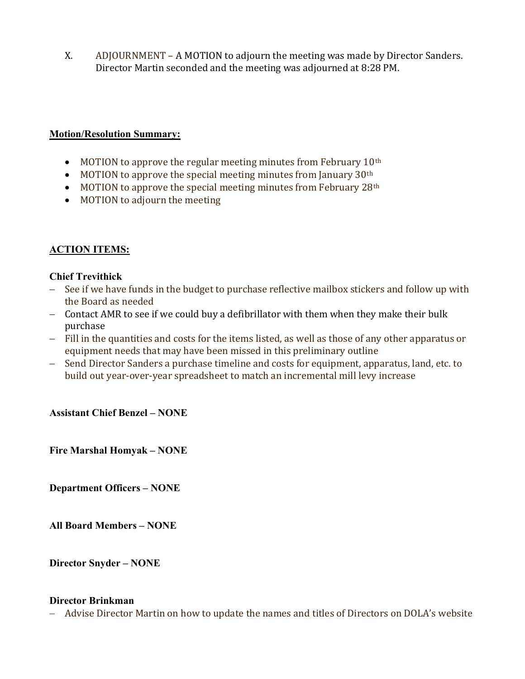X. ADJOURNMENT – A MOTION to adjourn the meeting was made by Director Sanders. Director Martin seconded and the meeting was adjourned at 8:28 PM.

#### Motion/Resolution Summary:

- $\bullet$  MOTION to approve the regular meeting minutes from February 10<sup>th</sup>
- $\bullet$  MOTION to approve the special meeting minutes from January 30<sup>th</sup>
- $\bullet$  MOTION to approve the special meeting minutes from February 28<sup>th</sup>
- MOTION to adjourn the meeting

### ACTION ITEMS:

#### Chief Trevithick

- See if we have funds in the budget to purchase reflective mailbox stickers and follow up with the Board as needed
- Contact AMR to see if we could buy a defibrillator with them when they make their bulk purchase
- Fill in the quantities and costs for the items listed, as well as those of any other apparatus or equipment needs that may have been missed in this preliminary outline
- Send Director Sanders a purchase timeline and costs for equipment, apparatus, land, etc. to build out year-over-year spreadsheet to match an incremental mill levy increase

### Assistant Chief Benzel – NONE

Fire Marshal Homyak – NONE

Department Officers – NONE

All Board Members – NONE

Director Snyder – NONE

#### Director Brinkman

Advise Director Martin on how to update the names and titles of Directors on DOLA's website